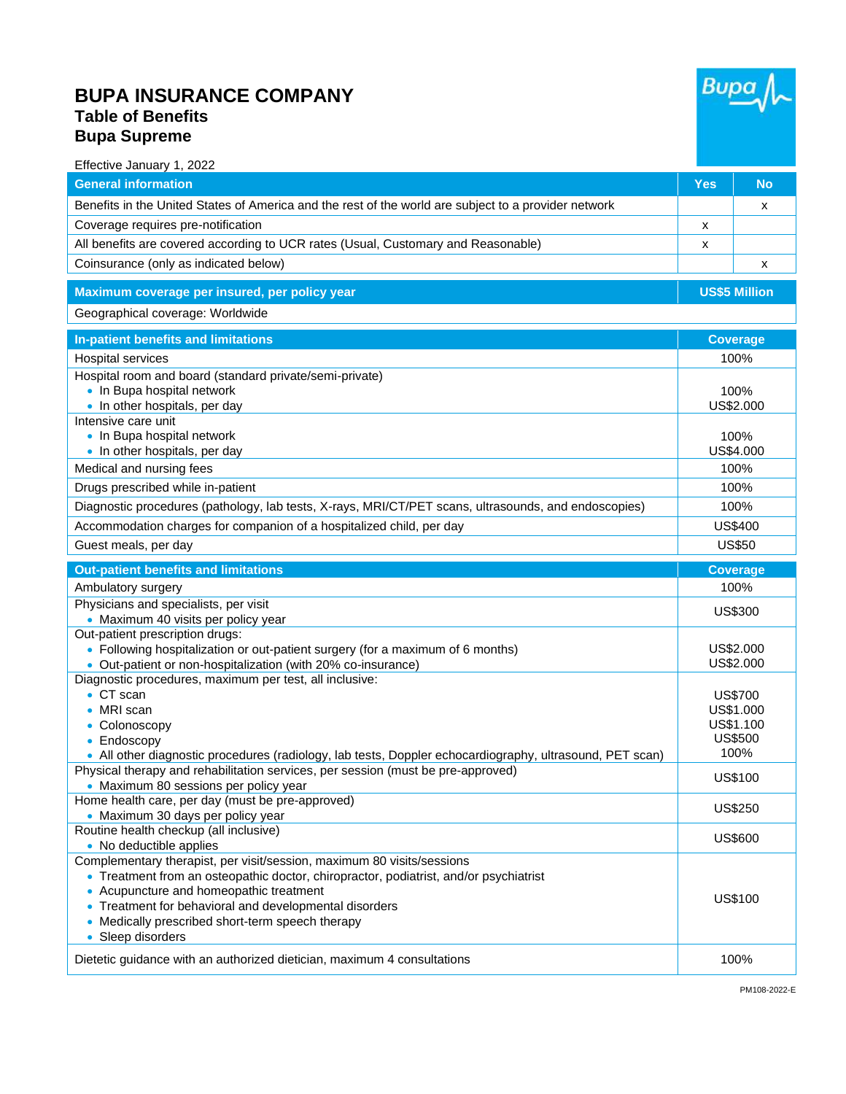## **BUPA INSURANCE COMPANY Table of Benefits Bupa Supreme**



| Effective January 1, 2022                                                                                  |                         |                         |
|------------------------------------------------------------------------------------------------------------|-------------------------|-------------------------|
| <b>General information</b>                                                                                 | <b>Yes</b>              | <b>No</b>               |
| Benefits in the United States of America and the rest of the world are subject to a provider network       |                         | х                       |
| Coverage requires pre-notification                                                                         | X                       |                         |
| All benefits are covered according to UCR rates (Usual, Customary and Reasonable)                          | х                       |                         |
| Coinsurance (only as indicated below)                                                                      |                         | х                       |
| Maximum coverage per insured, per policy year                                                              |                         | <b>US\$5 Million</b>    |
| Geographical coverage: Worldwide                                                                           |                         |                         |
|                                                                                                            |                         |                         |
| In-patient benefits and limitations                                                                        | <b>Coverage</b><br>100% |                         |
| Hospital services                                                                                          |                         |                         |
| Hospital room and board (standard private/semi-private)<br>• In Bupa hospital network                      |                         |                         |
| • In other hospitals, per day                                                                              | 100%<br>US\$2.000       |                         |
| Intensive care unit                                                                                        |                         |                         |
| • In Bupa hospital network                                                                                 |                         | 100%                    |
| • In other hospitals, per day                                                                              | US\$4.000               |                         |
| Medical and nursing fees                                                                                   | 100%                    |                         |
| Drugs prescribed while in-patient                                                                          | 100%                    |                         |
| Diagnostic procedures (pathology, lab tests, X-rays, MRI/CT/PET scans, ultrasounds, and endoscopies)       | 100%                    |                         |
| Accommodation charges for companion of a hospitalized child, per day                                       | <b>US\$400</b>          |                         |
| Guest meals, per day                                                                                       | <b>US\$50</b>           |                         |
|                                                                                                            |                         |                         |
|                                                                                                            |                         |                         |
| <b>Out-patient benefits and limitations</b><br>Ambulatory surgery                                          |                         | <b>Coverage</b><br>100% |
| Physicians and specialists, per visit                                                                      |                         |                         |
| • Maximum 40 visits per policy year                                                                        |                         | <b>US\$300</b>          |
| Out-patient prescription drugs:                                                                            |                         |                         |
| • Following hospitalization or out-patient surgery (for a maximum of 6 months)                             |                         | US\$2.000               |
| • Out-patient or non-hospitalization (with 20% co-insurance)                                               |                         | US\$2.000               |
| Diagnostic procedures, maximum per test, all inclusive:<br>$\bullet$ CT scan                               |                         | <b>US\$700</b>          |
| MRI scan                                                                                                   |                         | US\$1.000               |
| • Colonoscopy                                                                                              |                         | US\$1.100               |
| $\bullet$ Endoscopy                                                                                        |                         | <b>US\$500</b>          |
| . All other diagnostic procedures (radiology, lab tests, Doppler echocardiography, ultrasound, PET scan)   |                         | 100%                    |
| Physical therapy and rehabilitation services, per session (must be pre-approved)                           |                         | US\$100                 |
| • Maximum 80 sessions per policy year<br>Home health care, per day (must be pre-approved)                  |                         |                         |
| • Maximum 30 days per policy year                                                                          |                         | <b>US\$250</b>          |
| Routine health checkup (all inclusive)                                                                     |                         | US\$600                 |
| • No deductible applies                                                                                    |                         |                         |
| Complementary therapist, per visit/session, maximum 80 visits/sessions                                     |                         |                         |
| • Treatment from an osteopathic doctor, chiropractor, podiatrist, and/or psychiatrist                      |                         |                         |
| • Acupuncture and homeopathic treatment                                                                    |                         | US\$100                 |
| • Treatment for behavioral and developmental disorders<br>• Medically prescribed short-term speech therapy |                         |                         |
| • Sleep disorders                                                                                          |                         |                         |